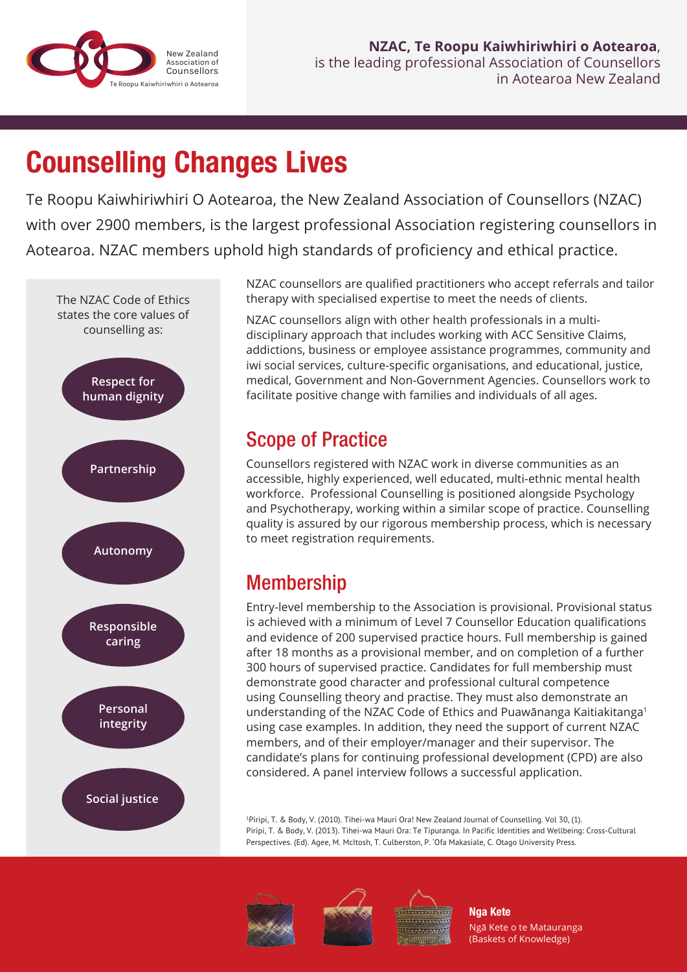

# Counselling Changes Lives

Te Roopu Kaiwhiriwhiri O Aotearoa, the New Zealand Association of Counsellors (NZAC) with over 2900 members, is the largest professional Association registering counsellors in Aotearoa. NZAC members uphold high standards of proficiency and ethical practice.



NZAC counsellors are qualified practitioners who accept referrals and tailor therapy with specialised expertise to meet the needs of clients.

NZAC counsellors align with other health professionals in a multidisciplinary approach that includes working with ACC Sensitive Claims, addictions, business or employee assistance programmes, community and iwi social services, culture-specific organisations, and educational, justice, medical, Government and Non-Government Agencies. Counsellors work to facilitate positive change with families and individuals of all ages.

### Scope of Practice

Counsellors registered with NZAC work in diverse communities as an accessible, highly experienced, well educated, multi-ethnic mental health workforce. Professional Counselling is positioned alongside Psychology and Psychotherapy, working within a similar scope of practice. Counselling quality is assured by our rigorous membership process, which is necessary to meet registration requirements.

# Membership

Entry-level membership to the Association is provisional. Provisional status is achieved with a minimum of Level 7 Counsellor Education qualifications and evidence of 200 supervised practice hours. Full membership is gained after 18 months as a provisional member, and on completion of a further 300 hours of supervised practice. Candidates for full membership must demonstrate good character and professional cultural competence using Counselling theory and practise. They must also demonstrate an understanding of the NZAC Code of Ethics and Puawānanga Kaitiakitanga<sup>1</sup> using case examples. In addition, they need the support of current NZAC members, and of their employer/manager and their supervisor. The candidate's plans for continuing professional development (CPD) are also considered. A panel interview follows a successful application.

<sup>1</sup>Piripi, T. & Body, V. (2010). Tihei-wa Mauri Ora! New Zealand Journal of Counselling. Vol 30, (1). Piripi, T. & Body, V. (2013). Tihei-wa Mauri Ora: Te Tipuranga. In Pacific Identities and Wellbeing: Cross-Cultural Perspectives. (Ed). Agee, M. McItosh, T. Culberston, P. 'Ofa Makasiale, C. Otago University Press.







Nga Kete Ngā Kete o te Matauranga (Baskets of Knowledge)